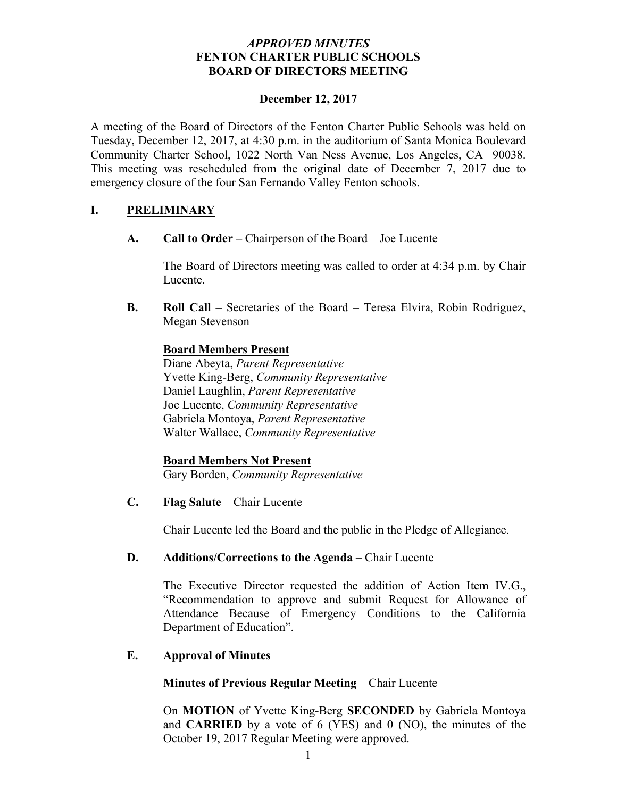# *APPROVED MINUTES* **FENTON CHARTER PUBLIC SCHOOLS BOARD OF DIRECTORS MEETING**

### **December 12, 2017**

A meeting of the Board of Directors of the Fenton Charter Public Schools was held on Tuesday, December 12, 2017, at 4:30 p.m. in the auditorium of Santa Monica Boulevard Community Charter School, 1022 North Van Ness Avenue, Los Angeles, CA 90038. This meeting was rescheduled from the original date of December 7, 2017 due to emergency closure of the four San Fernando Valley Fenton schools.

# **I. PRELIMINARY**

**A. Call to Order –** Chairperson of the Board – Joe Lucente

The Board of Directors meeting was called to order at 4:34 p.m. by Chair Lucente.

**B. Roll Call** – Secretaries of the Board – Teresa Elvira, Robin Rodriguez, Megan Stevenson

## **Board Members Present**

Diane Abeyta, *Parent Representative* Yvette King-Berg, *Community Representative* Daniel Laughlin, *Parent Representative* Joe Lucente, *Community Representative* Gabriela Montoya, *Parent Representative* Walter Wallace, *Community Representative* 

**Board Members Not Present** Gary Borden, *Community Representative*

**C. Flag Salute** – Chair Lucente

Chair Lucente led the Board and the public in the Pledge of Allegiance.

## **D. Additions/Corrections to the Agenda** – Chair Lucente

The Executive Director requested the addition of Action Item IV.G., "Recommendation to approve and submit Request for Allowance of Attendance Because of Emergency Conditions to the California Department of Education".

## **E. Approval of Minutes**

## **Minutes of Previous Regular Meeting** – Chair Lucente

On **MOTION** of Yvette King-Berg **SECONDED** by Gabriela Montoya and **CARRIED** by a vote of 6 (YES) and 0 (NO), the minutes of the October 19, 2017 Regular Meeting were approved.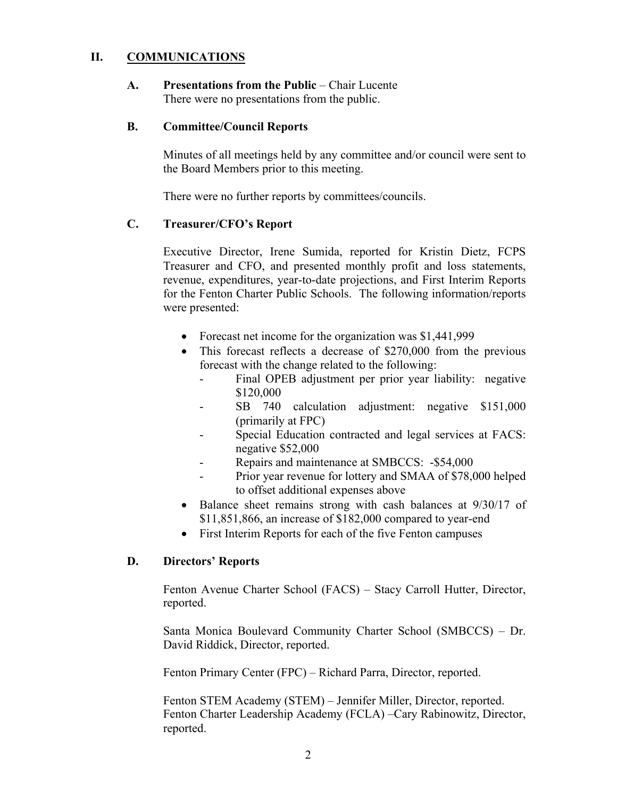# **II. COMMUNICATIONS**

**A. Presentations from the Public** – Chair Lucente There were no presentations from the public.

#### **B. Committee/Council Reports**

Minutes of all meetings held by any committee and/or council were sent to the Board Members prior to this meeting.

There were no further reports by committees/councils.

# **C. Treasurer/CFO's Report**

Executive Director, Irene Sumida, reported for Kristin Dietz, FCPS Treasurer and CFO, and presented monthly profit and loss statements, revenue, expenditures, year-to-date projections, and First Interim Reports for the Fenton Charter Public Schools. The following information/reports were presented:

- Forecast net income for the organization was \$1,441,999
- This forecast reflects a decrease of \$270,000 from the previous forecast with the change related to the following:
	- Final OPEB adjustment per prior year liability: negative \$120,000
	- SB 740 calculation adjustment: negative \$151,000 (primarily at FPC)
	- Special Education contracted and legal services at FACS: negative \$52,000
	- Repairs and maintenance at SMBCCS: -\$54,000
	- Prior year revenue for lottery and SMAA of \$78,000 helped to offset additional expenses above
- Balance sheet remains strong with cash balances at 9/30/17 of \$11,851,866, an increase of \$182,000 compared to year-end
- First Interim Reports for each of the five Fenton campuses

## **D. Directors' Reports**

Fenton Avenue Charter School (FACS) – Stacy Carroll Hutter, Director, reported.

Santa Monica Boulevard Community Charter School (SMBCCS) – Dr. David Riddick, Director, reported.

Fenton Primary Center (FPC) – Richard Parra, Director, reported.

Fenton STEM Academy (STEM) – Jennifer Miller, Director, reported. Fenton Charter Leadership Academy (FCLA) –Cary Rabinowitz, Director, reported.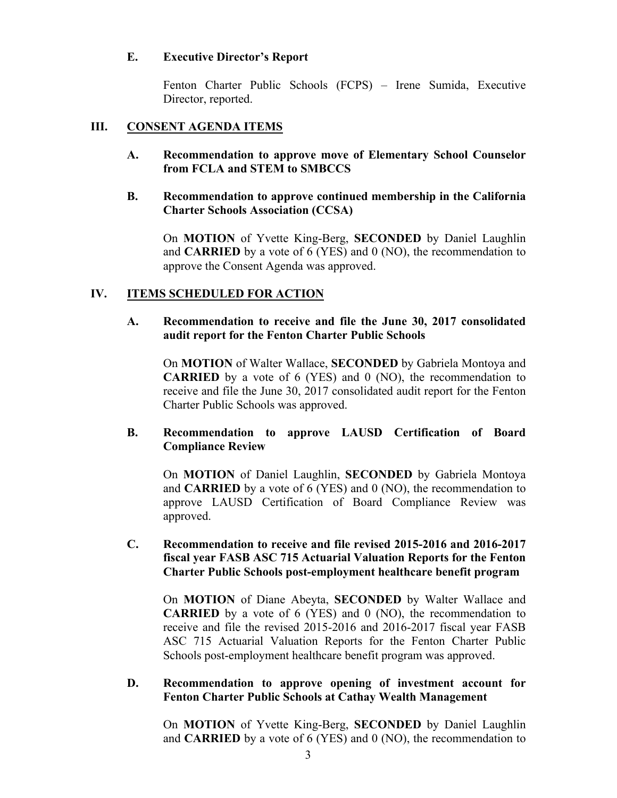## **E. Executive Director's Report**

Fenton Charter Public Schools (FCPS) – Irene Sumida, Executive Director, reported.

## **III. CONSENT AGENDA ITEMS**

**A. Recommendation to approve move of Elementary School Counselor from FCLA and STEM to SMBCCS**

## **B. Recommendation to approve continued membership in the California Charter Schools Association (CCSA)**

On **MOTION** of Yvette King-Berg, **SECONDED** by Daniel Laughlin and **CARRIED** by a vote of 6 (YES) and 0 (NO), the recommendation to approve the Consent Agenda was approved.

## **IV. ITEMS SCHEDULED FOR ACTION**

### **A. Recommendation to receive and file the June 30, 2017 consolidated audit report for the Fenton Charter Public Schools**

On **MOTION** of Walter Wallace, **SECONDED** by Gabriela Montoya and **CARRIED** by a vote of 6 (YES) and 0 (NO), the recommendation to receive and file the June 30, 2017 consolidated audit report for the Fenton Charter Public Schools was approved.

## **B. Recommendation to approve LAUSD Certification of Board Compliance Review**

On **MOTION** of Daniel Laughlin, **SECONDED** by Gabriela Montoya and **CARRIED** by a vote of 6 (YES) and 0 (NO), the recommendation to approve LAUSD Certification of Board Compliance Review was approved.

# **C. Recommendation to receive and file revised 2015-2016 and 2016-2017 fiscal year FASB ASC 715 Actuarial Valuation Reports for the Fenton Charter Public Schools post-employment healthcare benefit program**

On **MOTION** of Diane Abeyta, **SECONDED** by Walter Wallace and **CARRIED** by a vote of 6 (YES) and 0 (NO), the recommendation to receive and file the revised 2015-2016 and 2016-2017 fiscal year FASB ASC 715 Actuarial Valuation Reports for the Fenton Charter Public Schools post-employment healthcare benefit program was approved.

#### **D. Recommendation to approve opening of investment account for Fenton Charter Public Schools at Cathay Wealth Management**

On **MOTION** of Yvette King-Berg, **SECONDED** by Daniel Laughlin and **CARRIED** by a vote of 6 (YES) and 0 (NO), the recommendation to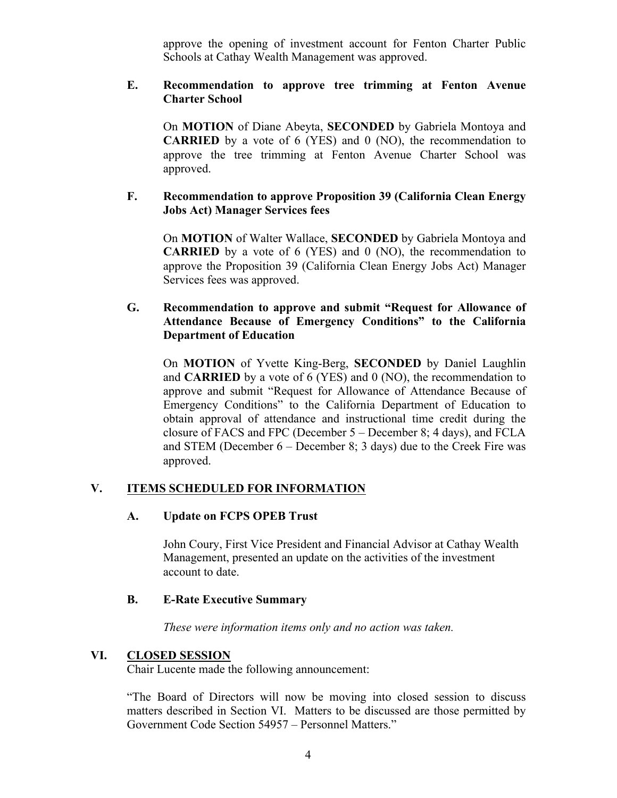approve the opening of investment account for Fenton Charter Public Schools at Cathay Wealth Management was approved.

## **E. Recommendation to approve tree trimming at Fenton Avenue Charter School**

On **MOTION** of Diane Abeyta, **SECONDED** by Gabriela Montoya and **CARRIED** by a vote of 6 (YES) and 0 (NO), the recommendation to approve the tree trimming at Fenton Avenue Charter School was approved.

# **F. Recommendation to approve Proposition 39 (California Clean Energy Jobs Act) Manager Services fees**

On **MOTION** of Walter Wallace, **SECONDED** by Gabriela Montoya and **CARRIED** by a vote of 6 (YES) and 0 (NO), the recommendation to approve the Proposition 39 (California Clean Energy Jobs Act) Manager Services fees was approved.

# **G. Recommendation to approve and submit "Request for Allowance of Attendance Because of Emergency Conditions" to the California Department of Education**

On **MOTION** of Yvette King-Berg, **SECONDED** by Daniel Laughlin and **CARRIED** by a vote of 6 (YES) and 0 (NO), the recommendation to approve and submit "Request for Allowance of Attendance Because of Emergency Conditions" to the California Department of Education to obtain approval of attendance and instructional time credit during the closure of FACS and FPC (December 5 – December 8; 4 days), and FCLA and STEM (December 6 – December 8; 3 days) due to the Creek Fire was approved.

# **V. ITEMS SCHEDULED FOR INFORMATION**

## **A. Update on FCPS OPEB Trust**

John Coury, First Vice President and Financial Advisor at Cathay Wealth Management, presented an update on the activities of the investment account to date.

## **B. E-Rate Executive Summary**

*These were information items only and no action was taken.*

## **VI. CLOSED SESSION**

Chair Lucente made the following announcement:

"The Board of Directors will now be moving into closed session to discuss matters described in Section VI. Matters to be discussed are those permitted by Government Code Section 54957 – Personnel Matters."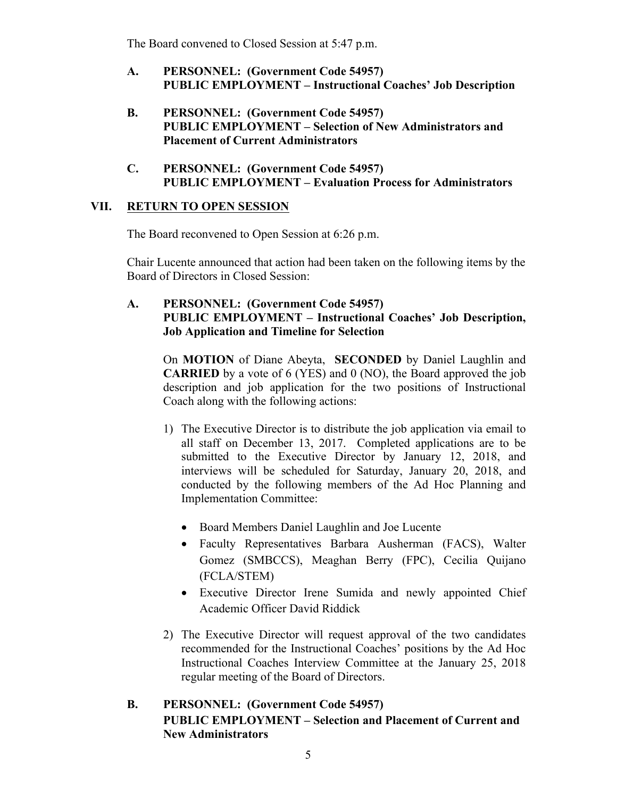The Board convened to Closed Session at 5:47 p.m.

- **A. PERSONNEL: (Government Code 54957) PUBLIC EMPLOYMENT – Instructional Coaches' Job Description**
- **B. PERSONNEL: (Government Code 54957) PUBLIC EMPLOYMENT – Selection of New Administrators and Placement of Current Administrators**
- **C. PERSONNEL: (Government Code 54957) PUBLIC EMPLOYMENT – Evaluation Process for Administrators**

# **VII. RETURN TO OPEN SESSION**

The Board reconvened to Open Session at 6:26 p.m.

Chair Lucente announced that action had been taken on the following items by the Board of Directors in Closed Session:

# **A. PERSONNEL: (Government Code 54957) PUBLIC EMPLOYMENT – Instructional Coaches' Job Description, Job Application and Timeline for Selection**

On **MOTION** of Diane Abeyta, **SECONDED** by Daniel Laughlin and **CARRIED** by a vote of 6 (YES) and 0 (NO), the Board approved the job description and job application for the two positions of Instructional Coach along with the following actions:

- 1) The Executive Director is to distribute the job application via email to all staff on December 13, 2017. Completed applications are to be submitted to the Executive Director by January 12, 2018, and interviews will be scheduled for Saturday, January 20, 2018, and conducted by the following members of the Ad Hoc Planning and Implementation Committee:
	- Board Members Daniel Laughlin and Joe Lucente
	- Faculty Representatives Barbara Ausherman (FACS), Walter Gomez (SMBCCS), Meaghan Berry (FPC), Cecilia Quijano (FCLA/STEM)
	- Executive Director Irene Sumida and newly appointed Chief Academic Officer David Riddick
- 2) The Executive Director will request approval of the two candidates recommended for the Instructional Coaches' positions by the Ad Hoc Instructional Coaches Interview Committee at the January 25, 2018 regular meeting of the Board of Directors.

# **B. PERSONNEL: (Government Code 54957) PUBLIC EMPLOYMENT – Selection and Placement of Current and New Administrators**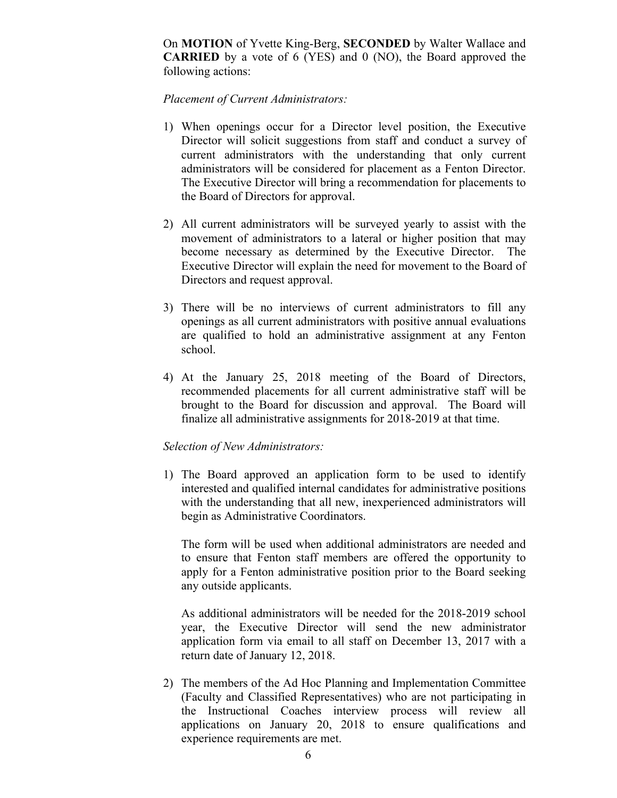On **MOTION** of Yvette King-Berg, **SECONDED** by Walter Wallace and **CARRIED** by a vote of 6 (YES) and 0 (NO), the Board approved the following actions:

#### *Placement of Current Administrators:*

- 1) When openings occur for a Director level position, the Executive Director will solicit suggestions from staff and conduct a survey of current administrators with the understanding that only current administrators will be considered for placement as a Fenton Director. The Executive Director will bring a recommendation for placements to the Board of Directors for approval.
- 2) All current administrators will be surveyed yearly to assist with the movement of administrators to a lateral or higher position that may become necessary as determined by the Executive Director. The Executive Director will explain the need for movement to the Board of Directors and request approval.
- 3) There will be no interviews of current administrators to fill any openings as all current administrators with positive annual evaluations are qualified to hold an administrative assignment at any Fenton school.
- 4) At the January 25, 2018 meeting of the Board of Directors, recommended placements for all current administrative staff will be brought to the Board for discussion and approval. The Board will finalize all administrative assignments for 2018-2019 at that time.

#### *Selection of New Administrators:*

1) The Board approved an application form to be used to identify interested and qualified internal candidates for administrative positions with the understanding that all new, inexperienced administrators will begin as Administrative Coordinators.

The form will be used when additional administrators are needed and to ensure that Fenton staff members are offered the opportunity to apply for a Fenton administrative position prior to the Board seeking any outside applicants.

As additional administrators will be needed for the 2018-2019 school year, the Executive Director will send the new administrator application form via email to all staff on December 13, 2017 with a return date of January 12, 2018.

2) The members of the Ad Hoc Planning and Implementation Committee (Faculty and Classified Representatives) who are not participating in the Instructional Coaches interview process will review all applications on January 20, 2018 to ensure qualifications and experience requirements are met.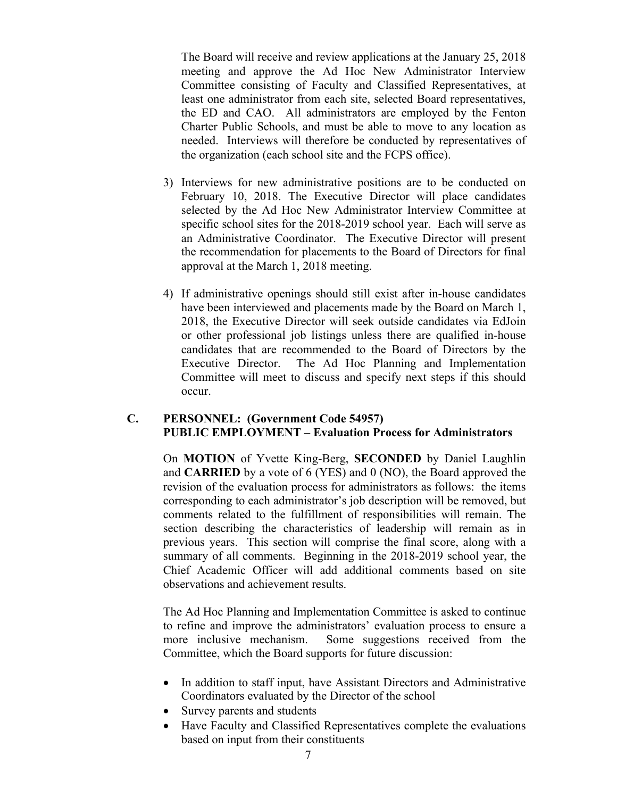The Board will receive and review applications at the January 25, 2018 meeting and approve the Ad Hoc New Administrator Interview Committee consisting of Faculty and Classified Representatives, at least one administrator from each site, selected Board representatives, the ED and CAO. All administrators are employed by the Fenton Charter Public Schools, and must be able to move to any location as needed. Interviews will therefore be conducted by representatives of the organization (each school site and the FCPS office).

- 3) Interviews for new administrative positions are to be conducted on February 10, 2018. The Executive Director will place candidates selected by the Ad Hoc New Administrator Interview Committee at specific school sites for the 2018-2019 school year. Each will serve as an Administrative Coordinator. The Executive Director will present the recommendation for placements to the Board of Directors for final approval at the March 1, 2018 meeting.
- 4) If administrative openings should still exist after in-house candidates have been interviewed and placements made by the Board on March 1, 2018, the Executive Director will seek outside candidates via EdJoin or other professional job listings unless there are qualified in-house candidates that are recommended to the Board of Directors by the Executive Director. The Ad Hoc Planning and Implementation Committee will meet to discuss and specify next steps if this should occur.

# **C. PERSONNEL: (Government Code 54957) PUBLIC EMPLOYMENT – Evaluation Process for Administrators**

On **MOTION** of Yvette King-Berg, **SECONDED** by Daniel Laughlin and **CARRIED** by a vote of 6 (YES) and 0 (NO), the Board approved the revision of the evaluation process for administrators as follows: the items corresponding to each administrator's job description will be removed, but comments related to the fulfillment of responsibilities will remain. The section describing the characteristics of leadership will remain as in previous years. This section will comprise the final score, along with a summary of all comments. Beginning in the 2018-2019 school year, the Chief Academic Officer will add additional comments based on site observations and achievement results.

The Ad Hoc Planning and Implementation Committee is asked to continue to refine and improve the administrators' evaluation process to ensure a more inclusive mechanism. Some suggestions received from the Committee, which the Board supports for future discussion:

- In addition to staff input, have Assistant Directors and Administrative Coordinators evaluated by the Director of the school
- Survey parents and students
- Have Faculty and Classified Representatives complete the evaluations based on input from their constituents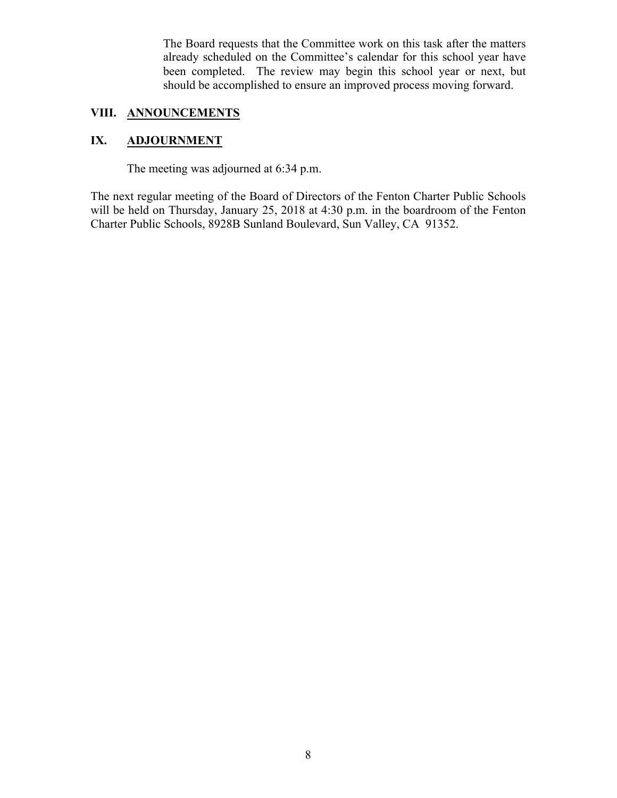The Board requests that the Committee work on this task after the matters already scheduled on the Committee's calendar for this school year have been completed. The review may begin this school year or next, but should be accomplished to ensure an improved process moving forward.

# **VIII. ANNOUNCEMENTS**

# **IX. ADJOURNMENT**

The meeting was adjourned at 6:34 p.m.

The next regular meeting of the Board of Directors of the Fenton Charter Public Schools will be held on Thursday, January 25, 2018 at 4:30 p.m. in the boardroom of the Fenton Charter Public Schools, 8928B Sunland Boulevard, Sun Valley, CA 91352.